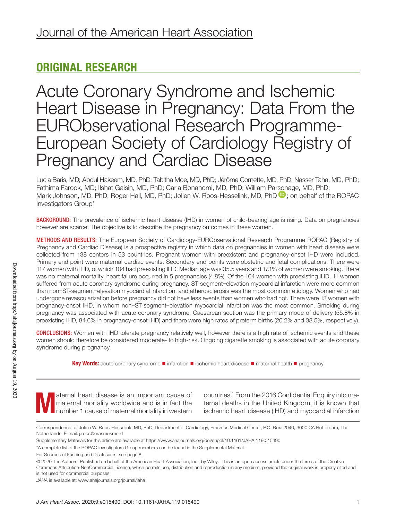# ORIGINAL RESEARCH

Acute Coronary Syndrome and Ischemic Heart Disease in Pregnancy: Data From the EURObservational Research Programme-European Society of Cardiology Registry of Pregnancy and Cardiac Disease

Lucia Baris, MD; Abdul Hakeem, MD, PhD; Tabitha Moe, MD, PhD; Jérôme Cornette, MD, PhD; Nasser Taha, MD, PhD; Fathima Farook, MD; Ilshat Gaisin, MD, PhD; Carla Bonanomi, MD, PhD; William Pa[rson](https://orcid.org/0000-0002-6770-3830)age, MD, PhD; Mark Johnson, MD, PhD; Roger Hall, MD, PhD; Jolien W. Roos-Hesselink, MD, PhD  $\bullet$ ; on behalf of the ROPAC Investigators Group\*

BACKGROUND: The prevalence of ischemic heart disease (IHD) in women of child-bearing age is rising. Data on pregnancies however are scarce. The objective is to describe the pregnancy outcomes in these women.

METHODS AND RESULTS: The European Society of Cardiology-EURObservational Research Programme ROPAC (Registry of Pregnancy and Cardiac Disease) is a prospective registry in which data on pregnancies in women with heart disease were collected from 138 centers in 53 countries. Pregnant women with preexistent and pregnancy-onset IHD were included. Primary end point were maternal cardiac events. Secondary end points were obstetric and fetal complications. There were 117 women with IHD, of which 104 had preexisting IHD. Median age was 35.5 years and 17.1% of women were smoking. There was no maternal mortality, heart failure occurred in 5 pregnancies (4.8%). Of the 104 women with preexisting IHD, 11 women suffered from acute coronary syndrome during pregnancy. ST-segment–elevation myocardial infarction were more common than non–ST-segment–elevation myocardial infarction, and atherosclerosis was the most common etiology. Women who had undergone revascularization before pregnancy did not have less events than women who had not. There were 13 women with pregnancy-onset IHD, in whom non-ST-segment-elevation myocardial infarction was the most common. Smoking during pregnancy was associated with acute coronary syndrome. Caesarean section was the primary mode of delivery (55.8% in preexisting IHD, 84.6% in pregnancy-onset IHD) and there were high rates of preterm births (20.2% and 38.5%, respectively).

CONCLUSIONS: Women with IHD tolerate pregnancy relatively well, however there is a high rate of ischemic events and these women should therefore be considered moderate- to high-risk. Ongoing cigarette smoking is associated with acute coronary syndrome during pregnancy.

Key Words: acute coronary syndrome ■ infarction ■ ischemic heart disease ■ maternal health ■ pregnancy

Maternal heart disease is an important cause of<br>maternal mortality worldwide and is in fact the<br>number 1 cause of maternal mortality in western maternal mortality worldwide and is in fact the number 1 cause of maternal mortality in western

countries.1 From the 2016 Confidential Enquiry into maternal deaths in the United Kingdom, it is known that ischemic heart disease (IHD) and myocardial infarction

Correspondence to: Jolien W. Roos-Hesselink, MD, PhD, Department of Cardiology, Erasmus Medical Center, P.O. Box: 2040, 3000 CA Rotterdam, The Netherlands. E-mail: [j.roos@erasmusmc.nl](mailto:j.roos@erasmusmc.nl)

Supplementary Materials for this article are available at <https://www.ahajournals.org/doi/suppl/10.1161/JAHA.119.015490>

<sup>\*</sup>A complete list of the ROPAC Investigators Group members can be found in the Supplemental Material.

For Sources of Funding and Disclosures, see page 8.

<sup>© 2020</sup> The Authors. Published on behalf of the American Heart Association, Inc., by Wiley. This is an open access article under the terms of the [Creative](http://creativecommons.org/licenses/by-nc/4.0/)  [Commons Attribution-NonCommercial](http://creativecommons.org/licenses/by-nc/4.0/) License, which permits use, distribution and reproduction in any medium, provided the original work is properly cited and is not used for commercial purposes.

*JAHA* is available at: [www.ahajournals.org/journal/jaha](https://www.ahajournals.org/journal/jaha)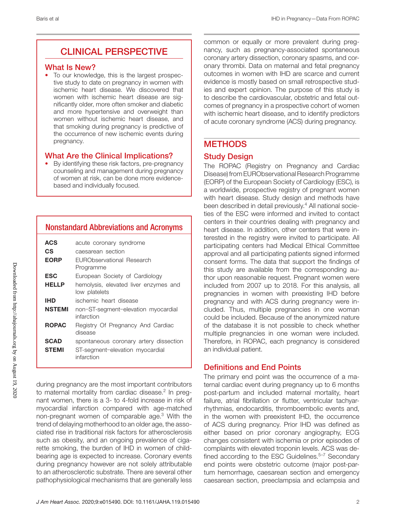# CLINICAL PERSPECTIVE

# What Is New?

• To our knowledge, this is the largest prospective study to date on pregnancy in women with ischemic heart disease. We discovered that women with ischemic heart disease are significantly older, more often smoker and diabetic and more hypertensive and overweight than women without ischemic heart disease, and that smoking during pregnancy is predictive of the occurrence of new ischemic events during pregnancy.

# What Are the Clinical Implications?

• By identifying these risk factors, pre-pregnancy counseling and management during pregnancy of women at risk, can be done more evidencebased and individually focused.

# Nonstandard Abbreviations and Acronyms

| <b>ACS</b>    | acute coronary syndrome                                |
|---------------|--------------------------------------------------------|
| CS            | caesarean section                                      |
| <b>EORP</b>   | FURObservational Research<br>Programme                 |
| <b>ESC</b>    | European Society of Cardiology                         |
| <b>HELLP</b>  | hemolysis, elevated liver enzymes and<br>low platelets |
| IHD           | ischemic heart disease                                 |
| <b>NSTEMI</b> | non-ST-segment-elevation myocardial<br>infarction      |
| <b>ROPAC</b>  | Registry Of Pregnancy And Cardiac<br>disease           |
| <b>SCAD</b>   | spontaneous coronary artery dissection                 |
| <b>STEMI</b>  | ST-segment-elevation myocardial<br>infarction          |

during pregnancy are the most important contributors to maternal mortality from cardiac disease.<sup>2</sup> In pregnant women, there is a 3- to 4-fold increase in risk of myocardial infarction compared with age-matched non-pregnant women of comparable age.3 With the trend of delaying motherhood to an older age, the associated rise in traditional risk factors for atherosclerosis such as obesity, and an ongoing prevalence of cigarette smoking, the burden of IHD in women of childbearing age is expected to increase. Coronary events during pregnancy however are not solely attributable to an atherosclerotic substrate. There are several other pathophysiological mechanisms that are generally less

common or equally or more prevalent during pregnancy, such as pregnancy-associated spontaneous coronary artery dissection, coronary spasms, and coronary thrombi. Data on maternal and fetal pregnancy outcomes in women with IHD are scarce and current evidence is mostly based on small retrospective studies and expert opinion. The purpose of this study is to describe the cardiovascular, obstetric and fetal outcomes of pregnancy in a prospective cohort of women with ischemic heart disease, and to identify predictors of acute coronary syndrome (ACS) during pregnancy.

# **METHODS**

# Study Design

The ROPAC (Registry on Pregnancy and Cardiac Disease) from EURObservational Research Programme (EORP) of the European Society of Cardiology (ESC), is a worldwide, prospective registry of pregnant women with heart disease. Study design and methods have been described in detail previously.4 All national societies of the ESC were informed and invited to contact centers in their countries dealing with pregnancy and heart disease. In addition, other centers that were interested in the registry were invited to participate. All participating centers had Medical Ethical Committee approval and all participating patients signed informed consent forms. The data that support the findings of this study are available from the corresponding author upon reasonable request. Pregnant women were included from 2007 up to 2018. For this analysis, all pregnancies in women with preexisting IHD before pregnancy and with ACS during pregnancy were included. Thus, multiple pregnancies in one woman could be included. Because of the anonymized nature of the database it is not possible to check whether multiple pregnancies in one woman were included. Therefore, in ROPAC, each pregnancy is considered an individual patient.

# Definitions and End Points

The primary end point was the occurrence of a maternal cardiac event during pregnancy up to 6 months post-partum and included maternal mortality, heart failure, atrial fibrillation or flutter, ventricular tachyarrhythmias, endocarditis, thromboembolic events and, in the women with preexistent IHD, the occurrence of ACS during pregnancy. Prior IHD was defined as either based on prior coronary angiography, ECG changes consistent with ischemia or prior episodes of complaints with elevated troponin levels. ACS was defined according to the ESC Guidelines.<sup>5-7</sup> Secondary end points were obstetric outcome (major post-partum hemorrhage, caesarean section and emergency caesarean section, preeclampsia and eclampsia and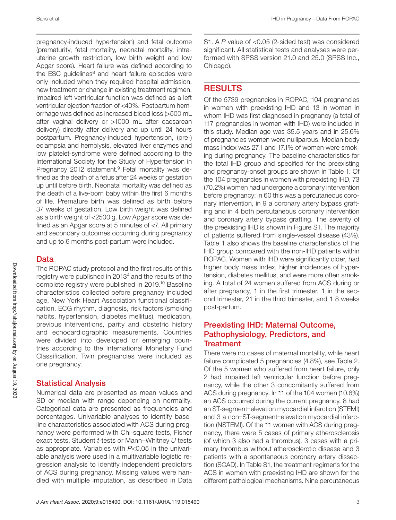pregnancy-induced hypertension) and fetal outcome (prematurity, fetal mortality, neonatal mortality, intrauterine growth restriction, low birth weight and low Apgar score). Heart failure was defined according to the ESC quidelines $8$  and heart failure episodes were only included when they required hospital admission, new treatment or change in existing treatment regimen. Impaired left ventricular function was defined as a left ventricular ejection fraction of <40%. Postpartum hemorrhage was defined as increased blood loss (>500 mL after vaginal delivery or >1000 mL after caesarean delivery) directly after delivery and up until 24 hours postpartum. Pregnancy-induced hypertension, (pre-) eclampsia and hemolysis, elevated liver enzymes and low platelet-syndrome were defined according to the International Society for the Study of Hypertension in Pregnancy 2012 statement.<sup>9</sup> Fetal mortality was defined as the death of a fetus after 24 weeks of gestation up until before birth. Neonatal mortality was defined as the death of a live-born baby within the first 6 months of life. Premature birth was defined as birth before 37 weeks of gestation. Low birth weight was defined as a birth weight of <2500 g. Low Apgar score was defined as an Apgar score at 5 minutes of <7. All primary and secondary outcomes occurring during pregnancy and up to 6 months post-partum were included.

# Data

The ROPAC study protocol and the first results of this registry were published in 20134 and the results of the complete registry were published in 2019.10 Baseline characteristics collected before pregnancy included age, New York Heart Association functional classification, ECG rhythm, diagnosis, risk factors (smoking habits, hypertension, diabetes mellitus), medication, previous interventions, parity and obstetric history and echocardiographic measurements. Countries were divided into developed or emerging countries according to the International Monetary Fund Classification. Twin pregnancies were included as one pregnancy.

# Statistical Analysis

Numerical data are presented as mean values and SD or median with range depending on normality. Categorical data are presented as frequencies and percentages. Univariable analyses to identify baseline characteristics associated with ACS during pregnancy were performed with Chi-square tests, Fisher exact tests, Student *t*-tests or Mann–Whitney *U* tests as appropriate. Variables with *P*<0.05 in the univariable analysis were used in a multivariable logistic regression analysis to identify independent predictors of ACS during pregnancy. Missing values were handled with multiple imputation, as described in Data S1. A *P* value of <0.05 (2-sided test) was considered significant. All statistical tests and analyses were performed with SPSS version 21.0 and 25.0 (SPSS Inc., Chicago).

# **RESULTS**

Of the 5739 pregnancies in ROPAC, 104 pregnancies in women with preexisting IHD and 13 in women in whom IHD was first diagnosed in pregnancy (a total of 117 pregnancies in women with IHD) were included in this study. Median age was 35.5 years and in 25.6% of pregnancies women were nulliparous. Median body mass index was 27.1 and 17.1% of women were smoking during pregnancy. The baseline characteristics for the total IHD group and specified for the preexisting and pregnancy-onset groups are shown in Table 1. Of the 104 pregnancies in women with preexisting IHD, 73 (70.2%) women had undergone a coronary intervention before pregnancy: in 60 this was a percutaneous coronary intervention, in 9 a coronary artery bypass grafting and in 4 both percutaneous coronary intervention and coronary artery bypass grafting. The severity of the preexisting IHD is shown in Figure S1. The majority of patients suffered from single-vessel disease (43%). Table 1 also shows the baseline characteristics of the IHD group compared with the non-IHD patients within ROPAC. Women with IHD were significantly older, had higher body mass index, higher incidences of hypertension, diabetes mellitus, and were more often smoking. A total of 24 women suffered from ACS during or after pregnancy, 1 in the first trimester, 1 in the second trimester, 21 in the third trimester, and 1 8 weeks post-partum.

# Preexisting IHD: Maternal Outcome, Pathophysiology, Predictors, and **Treatment**

There were no cases of maternal mortality, while heart failure complicated 5 pregnancies (4.8%), see Table 2. Of the 5 women who suffered from heart failure, only 2 had impaired left ventricular function before pregnancy, while the other 3 concomitantly suffered from ACS during pregnancy. In 11 of the 104 women (10.6%) an ACS occurred during the current pregnancy, 8 had an ST-segment-elevation myocardial infarction (STEMI) and 3 a non-ST-segment-elevation myocardial infarction (NSTEMI). Of the 11 women with ACS during pregnancy, there were 5 cases of primary atherosclerosis (of which 3 also had a thrombus), 3 cases with a primary thrombus without atherosclerotic disease and 3 patients with a spontaneous coronary artery dissection (SCAD). In Table S1, the treatment regimens for the ACS in women with preexisting IHD are shown for the different pathological mechanisms. Nine percutaneous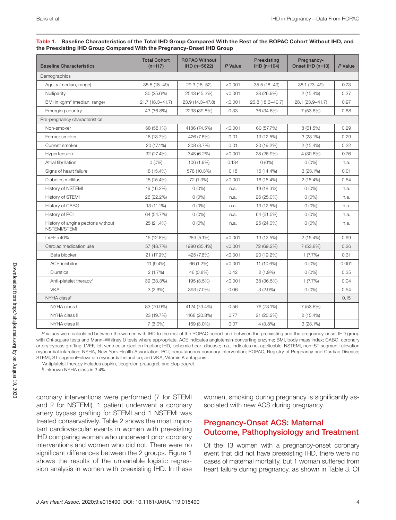| <b>Baseline Characteristics</b>                    | <b>Total Cohort</b><br>$(n=117)$ | <b>ROPAC Without</b><br>IHD (n=5622) | P Value | Preexisting<br>$IHD(n=104)$ | Pregnancy-<br>Onset IHD (n=13) | P Value |  |  |
|----------------------------------------------------|----------------------------------|--------------------------------------|---------|-----------------------------|--------------------------------|---------|--|--|
| Demographics                                       |                                  |                                      |         |                             |                                |         |  |  |
| Age, y (median, range)                             | $35.5(18 - 49)$                  | 29.3 (18-52)                         | < 0.001 | $35.5(18 - 49)$             | 38.1 (23-49)                   | 0.73    |  |  |
| Nulliparity                                        | 30 (25.6%)                       | 2543 (45.2%)                         | < 0.001 | 28 (26.9%)                  | $2(15.4\%)$                    | 0.37    |  |  |
| BMI in kg/m <sup>2</sup> (median, range)           | 21.7 (18.3-41.7)                 | 23.9 (14.3-47.8)                     | < 0.001 | 26.8 (18.3-40.7)            | 28.1 (23.9-41.7)               | 0.97    |  |  |
| Emerging country                                   | 43 (36.8%)                       | 2238 (39.8%)                         | 0.33    | 36 (34.6%)                  | 7 (53.8%)                      | 0.68    |  |  |
| Pre-pregnancy characteristics                      |                                  |                                      |         |                             |                                |         |  |  |
| Non-smoker                                         | 68 (58.1%)                       | 4186 (74.5%)                         | < 0.001 | 60 (57.7%)                  | 8 (61.5%)                      | 0.29    |  |  |
| Former smoker                                      | 16 (13.7%)                       | 426 (7.6%)                           | 0.01    | 13 (12.5%)                  | 3(23.1%)                       | 0.29    |  |  |
| Current smoker                                     | 20 (17.1%)                       | 208 (3.7%)                           | 0.01    | 20 (19.2%)                  | $2(15.4\%)$                    | 0.22    |  |  |
| Hypertension                                       | 32 (27.4%)                       | 348 (6.2%)                           | < 0.001 | 28 (26.9%)                  | 4 (30.8%)                      | 0.76    |  |  |
| Atrial fibrillation                                | $0(0\%)$                         | 106 (1.9%)                           | 0.134   | $0(0\%)$                    | $0(0\%)$                       | n.a.    |  |  |
| Signs of heart failure                             | 18 (15.4%)                       | 578 (10.3%)                          | 0.18    | 15 (14.4%)                  | 3(23.1%)                       | 0.01    |  |  |
| Diabetes mellitus                                  | 18 (15.4%)                       | 72 (1.3%)                            | < 0.001 | 16 (15.4%)                  | $2(15.4\%)$                    | 0.54    |  |  |
| History of NSTEMI                                  | 19 (16.2%)                       | $0(0\%)$                             | n.a.    | 19 (18.3%)                  | $0(0\%)$                       | n.a.    |  |  |
| History of STEMI                                   | 26 (22.2%)                       | $0(0\%)$                             | n.a.    | 26 (25.0%)                  | $0(0\%)$                       | n.a.    |  |  |
| History of CABG                                    | 13 (11.1%)                       | $0(0\%)$                             | n.a.    | 13 (12.5%)                  | $0(0\%)$                       | n.a.    |  |  |
| History of PCI                                     | 64 (54.7%)                       | $0(0\%)$                             | n.a.    | 64 (61.5%)                  | $0(0\%)$                       | n.a.    |  |  |
| History of angina pectoris without<br>NSTEMI/STEMI | 25 (21.4%)                       | $0(0\%)$                             | n.a.    | 25 (24.0%)                  | $0(0\%)$                       | n.a.    |  |  |
| LVEF <40%                                          | 15 (12.8%)                       | 289 (5.1%)                           | < 0.001 | 13 (12.5%)                  | $2(15.4\%)$                    | 0.69    |  |  |
| Cardiac medication use                             | 57 (48.7%)                       | 1990 (35.4%)                         | < 0.001 | 72 (69.2%)                  | 7 (53.8%)                      | 0.26    |  |  |
| Beta blocker                                       | 21 (17.9%)                       | 425 (7.6%)                           | < 0.001 | 20 (19.2%)                  | 1(7.7%)                        | 0.31    |  |  |
| ACE-inhibitor                                      | 11 (9.4%)                        | 66 (1.2%)                            | < 0.001 | 11 (10.6%)                  | $0(0\%)$                       | 0.001   |  |  |
| <b>Diuretics</b>                                   | 2(1.7%)                          | 46 (0.8%)                            | 0.42    | $2(1.9\%)$                  | $0(0\%)$                       | 0.35    |  |  |
| Anti-platelet therapy*                             | 39 (33.3%)                       | 195 (3.5%)                           | < 0.001 | 38 (36.5%)                  | 1(7.7%)                        | 0.04    |  |  |
| <b>VKA</b>                                         | 3(2.6%)                          | 393 (7.0%)                           | 0.06    | $3(2.9\%)$                  | $0(0\%)$                       | 0.54    |  |  |
| NYHA class <sup>t</sup>                            |                                  |                                      |         |                             |                                | 0.15    |  |  |
| NYHA class I                                       | 83 (70.9%)                       | 4124 (73.4%)                         | 0.56    | 76 (73.1%)                  | 7 (53.8%)                      |         |  |  |
| NYHA class II                                      | 23 (19.7%)                       | 1168 (20.8%)                         | 0.77    | 21 (20.2%)                  | $2(15.4\%)$                    |         |  |  |
| NYHA class III                                     | $7(6.0\%)$                       | 169 (3.0%)                           | 0.07    | $4(3.8\%)$                  | 3(23.1%)                       |         |  |  |

#### Table 1. Baseline Characteristics of the Total IHD Group Compared With the Rest of the ROPAC Cohort Without IHD, and the Preexisting IHD Group Compared With the Pregnancy-Onset IHD Group

*P* values were calculated between the women with IHD to the rest of the ROPAC cohort and between the preexisting and the pregnancy-onset IHD group with Chi-square tests and Mann–Whitney *U* tests where appropriate. ACE indicates angiotensin-converting enzyme; BMI, body mass index; CABG, coronary artery bypass grafting; LVEF, left ventricular ejection fraction; IHD, ischemic heart disease; n.a., indicates not applicable; NSTEMI, non-ST-segment-elevation myocardial infarction; NYHA, New York Health Association; PCI, percutaneous coronary intervention; ROPAC, Registry of Pregnancy and Cardiac Disease; STEMI, ST-segment-elevation myocardial infarction; and VKA, Vitamin K antagonist.

\*Antiplatelet therapy includes aspirin, ticagrelor, prasugrel, and clopidogrel.

†Unknown NYHA class in 3.4%.

coronary interventions were performed (7 for STEMI and 2 for NSTEMI), 1 patient underwent a coronary artery bypass grafting for STEMI and 1 NSTEMI was treated conservatively. Table 2 shows the most important cardiovascular events in women with preexisting IHD comparing women who underwent prior coronary interventions and women who did not. There were no significant differences between the 2 groups. Figure 1 shows the results of the univariable logistic regression analysis in women with preexisting IHD. In these women, smoking during pregnancy is significantly associated with new ACS during pregnancy.

# Pregnancy-Onset ACS: Maternal Outcome, Pathophysiology and Treatment

Of the 13 women with a pregnancy-onset coronary event that did not have preexisting IHD, there were no cases of maternal mortality, but 1 woman suffered from heart failure during pregnancy, as shown in Table 3. Of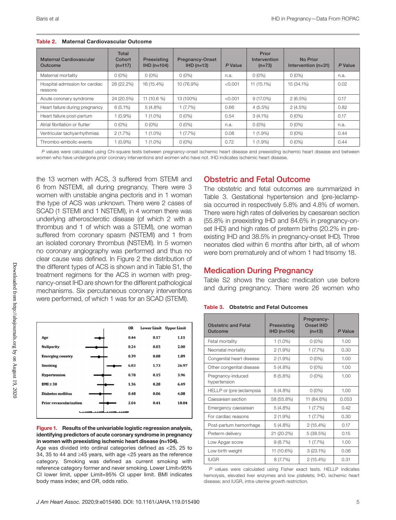| <b>Maternal Cardiovascular</b><br>Outcome | Total<br>Cohort<br>$(n=117)$ | Preexisting<br>$IHD(n=104)$ | <b>Pregnancy-Onset</b><br>$IHD(n=13)$ | P Value | Prior<br>Intervention<br>$(n=73)$ | No Prior<br>Intervention (n=31) | P Value |
|-------------------------------------------|------------------------------|-----------------------------|---------------------------------------|---------|-----------------------------------|---------------------------------|---------|
| Maternal mortality                        | $0(0\%)$                     | $0(0\%)$                    | $0(0\%)$                              | n.a.    | $0(0\%)$                          | $0(0\%)$                        | n.a.    |
| Hospital admission for cardiac<br>reasons | 26 (22.2%)                   | 16 (15.4%)                  | 10 (76.9%)                            | < 0.001 | 11 (15.1%)                        | 15 (34.1%)                      | 0.02    |
| Acute coronary syndrome                   | 24 (20.5%)                   | 11 (10.6 %)                 | 13 (100%)                             | < 0.001 | $9(17.0\%)$                       | $2(6.5\%)$                      | 0.17    |
| Heart failure during pregnancy            | $6(5.1\%)$                   | $5(4.8\%)$                  | $1(7.7\%)$                            | 0.66    | $4(5.5\%)$                        | 2(4.5%)                         | 0.82    |
| Heart failure post-partum                 | $1(0.9\%)$                   | $1(1.0\%)$                  | $0(0\%)$                              | 0.54    | $3(4.1\%)$                        | $0(0\%)$                        | 0.17    |
| Atrial fibrillation or flutter            | $0(0\%)$                     | $0(0\%)$                    | $0(0\%)$                              | n.a.    | $0(0\%)$                          | $0(0\%)$                        | n.a.    |
| Ventricular tachyarrhythmias              | 2(1.7%)                      | $1(1.0\%)$                  | 1(7.7%)                               | 0.08    | $1(1.9\%)$                        | $0(0\%)$                        | 0.44    |
| Thrombo-embolic events                    | 1 (0.9%)                     | $1(1.0\%)$                  | $0(0\%)$                              | 0.72    | $1(1.9\%)$                        | $0(0\%)$                        | 0.44    |

#### Table 2. Maternal Cardiovascular Outcome

*P* values were calculated using Chi-square tests between pregnancy-onset ischemic heart disease and preexisting ischemic heart disease and between women who have undergone prior coronary interventions and women who have not. IHD indicates ischemic heart disease.

the 13 women with ACS, 3 suffered from STEMI and 6 from NSTEMI, all during pregnancy. There were 3 women with unstable angina pectoris and in 1 woman the type of ACS was unknown. There were 2 cases of SCAD (1 STEMI and 1 NSTEMI), in 4 women there was underlying atherosclerotic disease (of which 2 with a thrombus and 1 of which was a STEMI), one woman suffered from coronary spasm (NSTEMI) and 1 from an isolated coronary thrombus (NSTEMI). In 5 women no coronary angiography was performed and thus no clear cause was defined. In Figure 2 the distribution of the different types of ACS is shown and in Table S1, the treatment regimens for the ACS in women with pregnancy-onset IHD are shown for the different pathological mechanisms. Six percutaneous coronary interventions were performed, of which 1 was for an SCAD (STEMI).



Figure 1. Results of the univariable logistic regression analysis, identifying predictors of acute coronary syndrome in pregnancy in women with preexisting ischemic heart disease (n=104).

Age was divided into ordinal categories defined as <25, 25 to 34, 35 to 44 and ≥45 years, with age <25 years as the reference category. Smoking was defined as current smoking with reference category former and never smoking. Lower Limit=95% CI lower limit, upper Limit=95% CI upper limit. BMI indicates body mass index; and OR, odds ratio.

## Obstetric and Fetal Outcome

The obstetric and fetal outcomes are summarized in Table 3. Gestational hypertension and (pre-)eclampsia occurred in respectively 5.8% and 4.8% of women. There were high rates of deliveries by caesarean section (55.8% in preexisting IHD and 84.6% in pregnancy-onset IHD) and high rates of preterm births (20.2% in preexisting IHD and 38.5% in pregnancy-onset IHD). Three neonates died within 6 months after birth, all of whom were born prematurely and of whom 1 had trisomy 18.

# Medication During Pregnancy

Table 3. Obstetric and Fetal Outcomes

Table S2 shows the cardiac medication use before and during pregnancy. There were 26 women who

#### Obstetric and Fetal Outcome Preexisting IHD (n=104) Pregnancy-Onset IHD (n=13) *P* Value Fetal mortality 1 (1.0%) 0 (0%) 1.00 Neonatal mortality  $\begin{array}{|c|c|c|c|c|c|c|c|c|} \hline \text{N} & \text{2 (1.9\%)} & \text{1 (7.7\%)} & \text{0.30\hline \end{array}$ Congenital heart disease  $\begin{array}{|c|c|c|c|c|c|c|c|c|} \hline 2 & (1.9\%) & 0 & (0\%) & \hline \end{array}$  1.00 Other congenital disease  $\begin{array}{|c|c|c|c|c|} \hline 5 (4.8\% ) & 0 (0\%) & 1.00 \hline \end{array}$ Pregnancy-induced hypertension  $6 (5.8\%)$  0 (0%) 1.00 HELLP or (pre-)eclampsia  $\begin{array}{|c|c|c|c|c|} \hline 5 (4.8\% ) & 0 (0\%) & 1.00 \hline \end{array}$ Caesarean section  $\begin{array}{|c|c|c|c|c|c|} \hline \end{array}$  58 (55.8%) 1 11 (84.6%) 0.053 Emergency caesarean  $\begin{array}{|c|c|c|c|c|c|} \hline 5 (4.8\%) & 1 (7.7\%) & 0.42 \hline \end{array}$ For cardiac reasons  $\begin{vmatrix} 2 & (1.9\%) & (1.77\%) & (1.30\>). \end{vmatrix}$ Post-partum hemorrhage | 5 (4.8%) | 2 (15.4%) | 0.17 Preterm delivery 21 (20.2%) 5 (38.5%) 0.15 Low Apgar score  $\begin{array}{|c|c|c|c|c|c|} \hline \end{array}$  9 (8.7%) 1 (7.7%) 1.00 Low birth weight  $11 (10.6%)$  3 (23.1%) 0.06  $IUGR$   $8(7.7%)$   $2(15.4%)$  0.31

#### *P* values were calculated using Fisher exact tests. HELLP indicates hemolysis, elevated liver enzymes and low platelets; IHD, ischemic heart disease; and IUGR, intra-uterine growth restriction.

Downloaded from http://ahajournals.org by on August 19, 2020 Downloaded from http://ahajournals.org by on August 19, 2020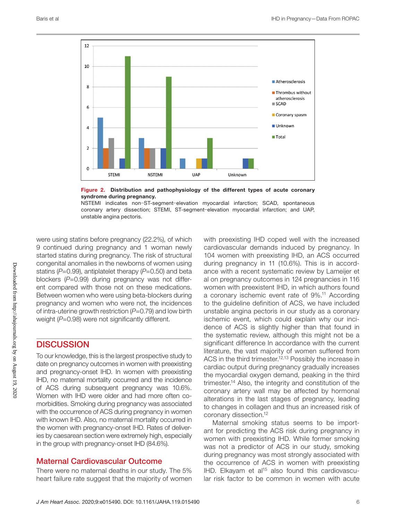

Figure 2. Distribution and pathophysiology of the different types of acute coronary syndrome during pregnancy.

|                           |  |  | NSTEMI indicates non-ST-segment-elevation myocardial infarction; SCAD, spontaneous      |  |  |
|---------------------------|--|--|-----------------------------------------------------------------------------------------|--|--|
|                           |  |  | coronary artery dissection; STEMI, ST-segment-elevation myocardial infarction; and UAP, |  |  |
| unstable angina pectoris. |  |  |                                                                                         |  |  |

were using statins before pregnancy (22.2%), of which 9 continued during pregnancy and 1 woman newly started statins during pregnancy. The risk of structural congenital anomalies in the newborns of women using statins (*P*=0.99), antiplatelet therapy (*P*=0.50) and beta blockers (*P*=0.99) during pregnancy was not different compared with those not on these medications. Between women who were using beta-blockers during pregnancy and women who were not, the incidences of intra-uterine growth restriction (*P*=0.79) and low birth weight (P=0.98) were not significantly different.

# **DISCUSSION**

To our knowledge, this is the largest prospective study to date on pregnancy outcomes in women with preexisting and pregnancy-onset IHD. In women with preexisting IHD, no maternal mortality occurred and the incidence of ACS during subsequent pregnancy was 10.6%. Women with IHD were older and had more often comorbidities. Smoking during pregnancy was associated with the occurrence of ACS during pregnancy in women with known IHD. Also, no maternal mortality occurred in the women with pregnancy-onset IHD. Rates of deliveries by caesarean section were extremely high, especially in the group with pregnancy-onset IHD (84.6%).

# Maternal Cardiovascular Outcome

There were no maternal deaths in our study. The 5% heart failure rate suggest that the majority of women with preexisting IHD coped well with the increased cardiovascular demands induced by pregnancy. In 104 women with preexisting IHD, an ACS occurred during pregnancy in 11 (10.6%). This is in accordance with a recent systematic review by Lameijer et al on pregnancy outcomes in 124 pregnancies in 116 women with preexistent IHD, in which authors found a coronary ischemic event rate of 9%.11 According to the guideline definition of ACS, we have included unstable angina pectoris in our study as a coronary ischemic event, which could explain why our incidence of ACS is slightly higher than that found in the systematic review, although this might not be a significant difference In accordance with the current literature, the vast majority of women suffered from ACS in the third trimester.<sup>12,13</sup> Possibly the increase in cardiac output during pregnancy gradually increases the myocardial oxygen demand, peaking in the third trimester.14 Also, the integrity and constitution of the coronary artery wall may be affected by hormonal alterations in the last stages of pregnancy, leading to changes in collagen and thus an increased risk of coronary dissection.12

Maternal smoking status seems to be important for predicting the ACS risk during pregnancy in women with preexisting IHD. While former smoking was not a predictor of ACS in our study, smoking during pregnancy was most strongly associated with the occurrence of ACS in women with preexisting IHD. Elkayam et al<sup>15</sup> also found this cardiovascular risk factor to be common in women with acute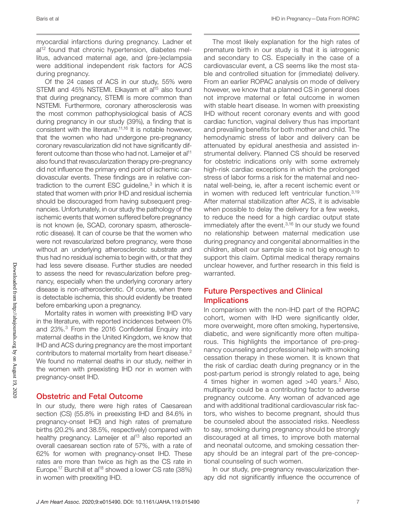myocardial infarctions during pregnancy. Ladner et al<sup>12</sup> found that chronic hypertension, diabetes mellitus, advanced maternal age, and (pre-)eclampsia were additional independent risk factors for ACS during pregnancy.

Of the 24 cases of ACS in our study, 55% were STEMI and 45% NSTEMI. Elkayam et al<sup>15</sup> also found that during pregnancy, STEMI is more common than NSTEMI. Furthermore, coronary atherosclerosis was the most common pathophysiological basis of ACS during pregnancy in our study (39%), a finding that is consistent with the literature.11,16 It is notable however, that the women who had undergone pre-pregnancy coronary revascularization did not have significantly different outcome than those who had not. Lamelier et al<sup>11</sup> also found that revascularization therapy pre-pregnancy did not influence the primary end point of ischemic cardiovascular events. These findings are in relative contradiction to the current ESC guideline, $3$  in which it is stated that women with prior IHD and residual ischemia should be discouraged from having subsequent pregnancies. Unfortunately, in our study the pathology of the ischemic events that women suffered before pregnancy is not known (ie, SCAD, coronary spasm, atherosclerotic disease). It can of course be that the women who were not revascularized before pregnancy, were those without an underlying atherosclerotic substrate and thus had no residual ischemia to begin with, or that they had less severe disease. Further studies are needed to assess the need for revascularization before pregnancy, especially when the underlying coronary artery disease is non-atherosclerotic. Of course, when there is detectable ischemia, this should evidently be treated before embarking upon a pregnancy.

Mortality rates in women with preexisting IHD vary in the literature, with reported incidences between 0% and 23%.3 From the 2016 Confidential Enquiry into maternal deaths in the United Kingdom, we know that IHD and ACS during pregnancy are the most important contributors to maternal mortality from heart disease.<sup>2</sup> We found no maternal deaths in our study, neither in the women with preexisting IHD nor in women with pregnancy-onset IHD.

## Obstetric and Fetal Outcome

In our study, there were high rates of Caesarean section (CS) (55.8% in preexisting IHD and 84.6% in pregnancy-onset IHD) and high rates of premature births (20.2% and 38.5%, respectively) compared with healthy pregnancy. Lameijer et al<sup>13</sup> also reported an overall caesarean section rate of 57%, with a rate of 62% for women with pregnancy-onset IHD. These rates are more than twice as high as the CS rate in Europe.<sup>17</sup> Burchill et al<sup>18</sup> showed a lower CS rate (38%) in women with preexiting IHD.

The most likely explanation for the high rates of premature birth in our study is that it is iatrogenic and secondary to CS. Especially in the case of a cardiovascular event, a CS seems like the most stable and controlled situation for (immediate) delivery. From an earlier ROPAC analysis on mode of delivery however, we know that a planned CS in general does not improve maternal or fetal outcome in women with stable heart disease. In women with preexisting IHD without recent coronary events and with good cardiac function, vaginal delivery thus has important and prevailing benefits for both mother and child. The hemodynamic stress of labor and delivery can be attenuated by epidural anesthesia and assisted instrumental delivery. Planned CS should be reserved for obstetric indications only with some extremely high-risk cardiac exceptions in which the prolonged stress of labor forms a risk for the maternal and neonatal well-being, ie, after a recent ischemic event or in women with reduced left ventricular function.3,19 After maternal stabilization after ACS, it is advisable when possible to delay the delivery for a few weeks, to reduce the need for a high cardiac output state immediately after the event.<sup>3,16</sup> In our study we found no relationship between maternal medication use during pregnancy and congenital abnormalities in the children, albeit our sample size is not big enough to support this claim. Optimal medical therapy remains unclear however, and further research in this field is warranted.

# Future Perspectives and Clinical **Implications**

In comparison with the non-IHD part of the ROPAC cohort, women with IHD were significantly older, more overweight, more often smoking, hypertensive, diabetic, and were significantly more often multiparous. This highlights the importance of pre-pregnancy counseling and professional help with smoking cessation therapy in these women. It is known that the risk of cardiac death during pregnancy or in the post-partum period is strongly related to age, being 4 times higher in women aged >40 years.<sup>2</sup> Also, multiparity could be a contributing factor to adverse pregnancy outcome. Any woman of advanced age and with additional traditional cardiovascular risk factors, who wishes to become pregnant, should thus be counseled about the associated risks. Needless to say, smoking during pregnancy should be strongly discouraged at all times, to improve both maternal and neonatal outcome, and smoking cessation therapy should be an integral part of the pre-conceptional counseling of such women.

In our study, pre-pregnancy revascularization therapy did not significantly influence the occurrence of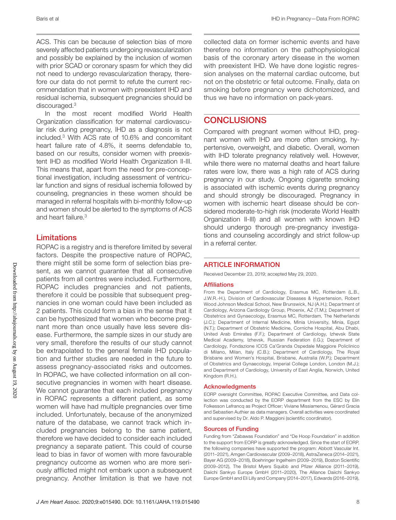ACS. This can be because of selection bias of more severely affected patients undergoing revascularization and possibly be explained by the inclusion of women with prior SCAD or coronary spasm for which they did not need to undergo revascularization therapy, therefore our data do not permit to refute the current recommendation that in women with preexistent IHD and residual ischemia, subsequent pregnancies should be discouraged.3

In the most recent modified World Health Organization classification for maternal cardiovascular risk during pregnancy, IHD as a diagnosis is not included.3 With ACS rate of 10.6% and concomitant heart failure rate of 4.8%, it seems defendable to, based on our results, consider women with preexistent IHD as modified World Health Organization II-III. This means that, apart from the need for pre-conceptional investigation, including assessment of ventricular function and signs of residual ischemia followed by counseling, pregnancies in these women should be managed in referral hospitals with bi-monthly follow-up and women should be alerted to the symptoms of ACS and heart failure.3

# Limitations

ROPAC is a registry and is therefore limited by several factors. Despite the prospective nature of ROPAC, there might still be some form of selection bias present, as we cannot guarantee that all consecutive patients from all centres were included. Furthermore, ROPAC includes pregnancies and not patients, therefore it could be possible that subsequent pregnancies in one woman could have been included as 2 patients. This could form a bias in the sense that it can be hypothesized that women who become pregnant more than once usually have less severe disease. Furthermore, the sample sizes in our study are very small, therefore the results of our study cannot be extrapolated to the general female IHD population and further studies are needed in the future to assess pregnancy-associated risks and outcomes. In ROPAC, we have collected information on all consecutive pregnancies in women with heart disease. We cannot guarantee that each included pregnancy in ROPAC represents a different patient, as some women will have had multiple pregnancies over time included. Unfortunately, because of the anonymized nature of the database, we cannot track which included pregnancies belong to the same patient, therefore we have decided to consider each included pregnancy a separate patient. This could of course lead to bias in favor of women with more favourable pregnancy outcome as women who are more seriously afflicted might not embark upon a subsequent pregnancy. Another limitation is that we have not collected data on former ischemic events and have therefore no information on the pathophysiological basis of the coronary artery disease in the women with preexistent IHD. We have done logistic regression analyses on the maternal cardiac outcome, but not on the obstetric or fetal outcome. Finally, data on smoking before pregnancy were dichotomized, and thus we have no information on pack-years.

# **CONCLUSIONS**

Compared with pregnant women without IHD, pregnant women with IHD are more often smoking, hypertensive, overweight, and diabetic. Overall, women with IHD tolerate pregnancy relatively well. However, while there were no maternal deaths and heart failure rates were low, there was a high rate of ACS during pregnancy in our study. Ongoing cigarette smoking is associated with ischemic events during pregnancy and should strongly be discouraged. Pregnancy in women with ischemic heart disease should be considered moderate-to-high risk (moderate World Health Organization II-III) and all women with known IHD should undergo thorough pre-pregnancy investigations and counseling accordingly and strict follow-up in a referral center.

### ARTICLE INFORMATION

Received December 23, 2019; accepted May 29, 2020.

#### Affiliations

From the Department of Cardiology, Erasmus MC, Rotterdam (L.B., J.W.R.-H.), Division of Cardiovascular Diseases & Hypertension, Robert Wood Johnson Medical School, New Brunswick, NJ (A.H.); Department of Cardiology, Arizona Cardiology Group, Phoenix, AZ (T.M.); Department of Obstetrics and Gynaecology, Erasmus MC, Rotterdam, The Netherlands (J.C.); Department of Internal Medicine, Minia University, Minia, Egypt (N.T.); Department of Obstetric Medicine, Corniche Hospital, Abu Dhabi, United Arab Emirates (F.F.); Department of Cardiology, Izhevsk State Medical Academy, Izhevsk, Russian Federation (I.G.); Department of Cardiology, Fondazione ICCS Ca'Granda Ospedale Maggiore Policlinico di Milano, Milan, Italy (C.B.); Department of Cardiology, The Royal Brisbane and Women's Hospital, Brisbane, Australia (W.P.); Department of Obstetrics and Gynaecology, Imperial College London, London (M.J.); and Department of Cardiology, University of East Anglia, Norwich, United Kingdom (R.H.).

#### Acknowledgments

EORP oversight Committee, ROPAC Executive Committee, and Data collection was conducted by the EORP department from the ESC by Elin Folkesson Lefrancq as Project Officer; Viviane Missiamenou, Gérard Gracia and Sebastien Authier as data managers. Overall activities were coordinated and supervised by Dr. Aldo P. Maggioni (scientific coordinator).

#### Sources of Funding

Funding from "Zabawas Foundation" and "De Hoop Foundation" in addition to the support from EORP is greatly acknowledged. Since the start of EORP, the following companies have supported the program: Abbott Vascular Int. (2011–2021), Amgen Cardiovascular (2009–2018), AstraZeneca (2014–2021), Bayer AG (2009–2018), Boehringer Ingelheim (2009–2019), Boston Scientific (2009–2012), The Bristol Myers Squibb and Pfizer Alliance (2011–2019), Daiichi Sankyo Europe GmbH (2011–2020), The Alliance Daiichi Sankyo Europe GmbH and Eli Lilly and Company (2014–2017), Edwards (2016–2019),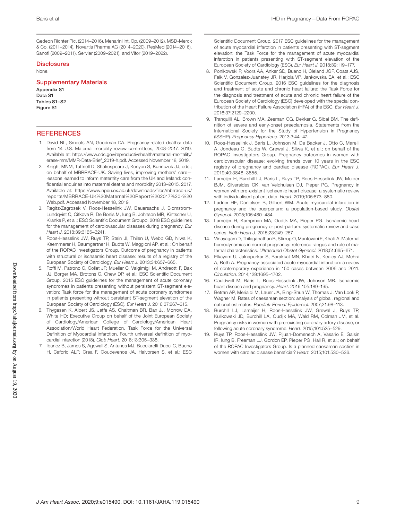Gedeon Richter Plc. (2014–2016), Menarini Int. Op. (2009–2012), MSD-Merck & Co. (2011–2014), Novartis Pharma AG (2014–2020), ResMed (2014–2016), Sanofi (2009–2011), Servier (2009–2021), and Vifor (2019–2022).

#### **Disclosures**

None.

#### Supplementary Materials

Appendix S1 Data S1 Tables S1–S2 Figure S1

#### **REFERENCES**

- 1. David NL, Smoots AN, Goodman DA. Pregnancy-related deaths: data from 14 U.S. Maternal mortality review committees, 2008–2017. 2019. Available at: [https://www.cdc.gov/reproductivehealth/maternal-mortality/](https://www.cdc.gov/reproductivehealth/maternal-mortality/erase-mm/MMR-Data-Brief_2019-h.pdf) [erase-mm/MMR-Data-Brief\\_2019-h.pdf](https://www.cdc.gov/reproductivehealth/maternal-mortality/erase-mm/MMR-Data-Brief_2019-h.pdf). Accessed November 18, 2019.
- 2. Knight MNM, Tuffnell D, Shakespeare J, Kenyon S, Kurinczuk JJ, eds.; on behalf of MBRRACE-UK. Saving lives, improving mothers' care lessons learned to inform maternity care from the UK and Ireland: confidential enquiries into maternal deaths and morbidity 2013–2015. 2017. Available at: [https://www.npeu.ox.ac.uk/downloads/files/mbrrace-uk/](https://www.npeu.ox.ac.uk/downloads/files/mbrrace-uk/reports/MBRRACE-UK Maternal Report 2017 - Web.pdf) [reports/MBRRACE-UK%20Maternal%20Report%202017%20-%20](https://www.npeu.ox.ac.uk/downloads/files/mbrrace-uk/reports/MBRRACE-UK Maternal Report 2017 - Web.pdf) [Web.pdf](https://www.npeu.ox.ac.uk/downloads/files/mbrrace-uk/reports/MBRRACE-UK Maternal Report 2017 - Web.pdf). Accessed November 18, 2019.
- 3. Regitz-Zagrosek V, Roos-Hesselink JW, Bauersachs J, Blomstrom-Lundqvist C, Cifkova R, De Bonis M, Iung B, Johnson MR, Kintscher U, Kranke P, et al.; ESC Scientific Document Groupo. 2018 ESC guidelines for the management of cardiovascular diseases during pregnancy. *Eur Heart J*. 2018;39:3165–3241.
- 4. Roos-Hesselink JW, Ruys TP, Stein JI, Thilen U, Webb GD, Niwa K, Kaemmerer H, Baumgartner H, Budts W, Maggioni AP, et al.; On behalf of the ROPAC Investigators Group. Outcome of pregnancy in patients with structural or ischaemic heart disease: results of a registry of the European Society of Cardiology. *Eur Heart J*. 2013;34:657–665.
- 5. Roffi M, Patrono C, Collet JP, Mueller C, Valgimigli M, Andreotti F, Bax JJ, Borger MA, Brotons C, Chew DP, et al.; ESC Scientific Document Group. 2015 ESC guidelines for the management of acute coronary syndromes in patients presenting without persistent ST-segment elevation: Task force for the management of acute coronary syndromes in patients presenting without persistent ST-segment elevation of the European Society of Cardiology (ESC). *Eur Heart J*. 2016;37:267–315.
- 6. Thygesen K, Alpert JS, Jaffe AS, Chaitman BR, Bax JJ, Morrow DA, White HD; Executive Group on behalf of the Joint European Society of Cardiology/American College of Cardiology/American Heart Association/World Heart Federation. Task Force for the Universal Definition of Myocardial Infarction. Fourth universal definition of myocardial infarction (2018). *Glob Heart*. 2018;13:305–338.
- 7. Ibanez B, James S, Agewall S, Antunes MJ, Bucciarelli-Ducci C, Bueno H, Caforio ALP, Crea F, Goudevenos JA, Halvorsen S, et al.; ESC

Scientific Document Group. 2017 ESC guidelines for the management of acute myocardial infarction in patients presenting with ST-segment elevation: the Task Force for the management of acute myocardial infarction in patients presenting with ST-segment elevation of the European Society of Cardiology (ESC). *Eur Heart J*. 2018;39:119–177.

- 8. Ponikowski P, Voors AA, Anker SD, Bueno H, Cleland JGF, Coats AJS, Falk V, Gonzalez-Juanatey JR, Harjola VP, Jankowska EA, et al.; ESC Scientific Document Group. 2016 ESC guidelines for the diagnosis and treatment of acute and chronic heart failure: the Task Force for the diagnosis and treatment of acute and chronic heart failure of the European Society of Cardiology (ESC) developed with the special contribution of the Heart Failure Association (HFA) of the ESC. *Eur Heart J*. 2016;37:2129–2200.
- 9. Tranquilli AL, Brown MA, Zeeman GG, Dekker G, Sibai BM. The definition of severe and early-onset preeclampsia. Statements from the International Society for the Study of Hypertension in Pregnancy (ISSHP). *Pregnancy Hypertens*. 2013;3:44–47.
- 10. Roos-Hesselink J, Baris L, Johnson M, De Backer J, Otto C, Marelli A, Jondeau G, Budts W, Grewal J, Sliwa K, et al.; on behalf of the ROPAC Investigators Group. Pregnancy outcomes in women with cardiovascular disease: evolving trends over 10 years in the ESC registry of pregnancy and cardiac disease (ROPAC). *Eur Heart J*. 2019;40:3848–3855.
- 11. Lameijer H, Burchill LJ, Baris L, Ruys TP, Roos-Hesselink JW, Mulder BJM, Silversides CK, van Veldhuisen DJ, Pieper PG. Pregnancy in women with pre-existent ischaemic heart disease: a systematic review with individualised patient data. *Heart*. 2019;105:873–880.
- 12. Ladner HE, Danielsen B, Gilbert WM. Acute myocardial infarction in pregnancy and the puerperium: a population-based study. *Obstet Gynecol*. 2005;105:480–484.
- 13. Lameijer H, Kampman MA, Oudijk MA, Pieper PG. Ischaemic heart disease during pregnancy or post-partum: systematic review and case series. *Neth Heart J*. 2015;23:249–257.
- 14. Vinayagam D, Thilaganathan B, Stirrup O, Mantovani E, Khalil A. Maternal hemodynamics in normal pregnancy: reference ranges and role of maternal characteristics. *Ultrasound Obstet Gynecol*. 2018;51:665–671.
- 15. Elkayam U, Jalnapurkar S, Barakkat MN, Khatri N, Kealey AJ, Mehra A, Roth A. Pregnancy-associated acute myocardial infarction: a review of contemporary experience in 150 cases between 2006 and 2011. *Circulation*. 2014;129:1695–1702.
- 16. Cauldwell M, Baris L, Roos-Hesselink JW, Johnson MR. Ischaemic heart disease and pregnancy. *Heart*. 2019;105:189–195.
- 17. Betran AP, Merialdi M, Lauer JA, Bing-Shun W, Thomas J, Van Look P, Wagner M. Rates of caesarean section: analysis of global, regional and national estimates. *Paediatr Perinat Epidemiol*. 2007;21:98–113.
- 18. Burchill LJ, Lameijer H, Roos-Hesselink JW, Grewal J, Ruys TP, Kulikowski JD, Burchill LA, Oudijk MA, Wald RM, Colman JM, et al. Pregnancy risks in women with pre-existing coronary artery disease, or following acute coronary syndrome. *Heart*. 2015;101:525–529.
- 19. Ruys TP, Roos-Hesselink JW, Pijuan-Domenech A, Vasario E, Gaisin IR, Iung B, Freeman LJ, Gordon EP, Pieper PG, Hall R, et al.; on behalf of the ROPAC Investigators Group. Is a planned caesarean section in women with cardiac disease beneficial? *Heart*. 2015;101:530–536.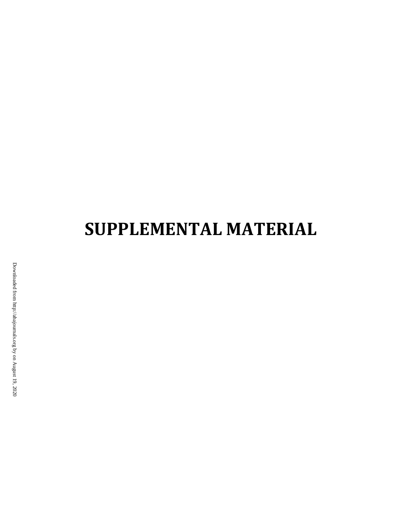# **SUPPLEMENTAL MATERIAL**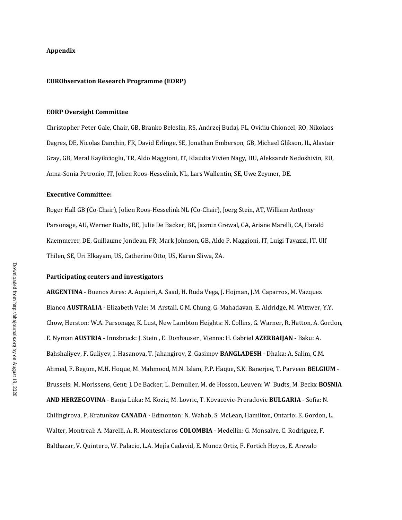#### **Appendix**

#### **EURObservation Research Programme (EORP)**

#### **EORP Oversight Committee**

Christopher Peter Gale, Chair, GB, Branko Beleslin, RS, Andrzej Budaj, PL, Ovidiu Chioncel, RO, Nikolaos Dagres, DE, Nicolas Danchin, FR, David Erlinge, SE, Jonathan Emberson, GB, Michael Glikson, IL, Alastair Gray, GB, Meral Kayikcioglu, TR, Aldo Maggioni, IT, Klaudia Vivien Nagy, HU, Aleksandr Nedoshivin, RU, Anna-Sonia Petronio, IT, Jolien Roos-Hesselink, NL, Lars Wallentin, SE, Uwe Zeymer, DE.

#### **Executive Committee:**

Roger Hall GB (Co-Chair), Jolien Roos-Hesselink NL (Co-Chair), Joerg Stein, AT, William Anthony Parsonage, AU, Werner Budts, BE, Julie De Backer, BE, Jasmin Grewal, CA, Ariane Marelli, CA, Harald Kaemmerer, DE, Guillaume Jondeau, FR, Mark Johnson, GB, Aldo P. Maggioni, IT, Luigi Tavazzi, IT, Ulf Thilen, SE, Uri Elkayam, US, Catherine Otto, US, Karen Sliwa, ZA.

#### **Participating centers and investigators**

**ARGENTINA** - Buenos Aires: A. Aquieri, A. Saad, H. Ruda Vega, J. Hojman, J.M. Caparros, M. Vazquez Blanco **AUSTRALIA** - Elizabeth Vale: M. Arstall, C.M. Chung, G. Mahadavan, E. Aldridge, M. Wittwer, Y.Y. Chow, Herston: W.A. Parsonage, K. Lust, New Lambton Heights: N. Collins, G. Warner, R. Hatton, A. Gordon, E. Nyman **AUSTRIA** - Innsbruck: J. Stein , E. Donhauser , Vienna: H. Gabriel **AZERBAIJAN** - Baku: A. Bahshaliyev, F. Guliyev, I. Hasanova, T. Jahangirov, Z. Gasimov **BANGLADESH** - Dhaka: A. Salim, C.M. Ahmed, F. Begum, M.H. Hoque, M. Mahmood, M.N. Islam, P.P. Haque, S.K. Banerjee, T. Parveen **BELGIUM** - Brussels: M. Morissens, Gent: J. De Backer, L. Demulier, M. de Hosson, Leuven: W. Budts, M. Beckx **BOSNIA AND HERZEGOVINA** - Banja Luka: M. Kozic, M. Lovric, T. Kovacevic-Preradovic **BULGARIA** - Sofia: N. Chilingirova, P. Kratunkov **CANADA** - Edmonton: N. Wahab, S. McLean, Hamilton, Ontario: E. Gordon, L. Walter, Montreal: A. Marelli, A. R. Montesclaros **COLOMBIA** - Medellin: G. Monsalve, C. Rodriguez, F. Balthazar, V. Quintero, W. Palacio, L.A. Mejía Cadavid, E. Munoz Ortiz, F. Fortich Hoyos, E. Arevalo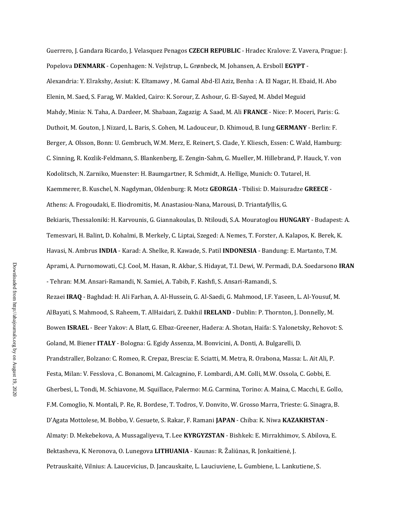Guerrero, J. Gandara Ricardo, J. Velasquez Penagos **CZECH REPUBLIC** - Hradec Kralove: Z. Vavera, Prague: J. Popelova **DENMARK** - Copenhagen: N. Vejlstrup, L. Grønbeck, M. Johansen, A. Ersboll **EGYPT** - Alexandria: Y. Elrakshy, Assiut: K. Eltamawy , M. Gamal Abd-El Aziz, Benha : A. El Nagar, H. Ebaid, H. Abo Elenin, M. Saed, S. Farag, W. Makled, Cairo: K. Sorour, Z. Ashour, G. El-Sayed, M. Abdel Meguid Mahdy, Minia: N. Taha, A. Dardeer, M. Shabaan, Zagazig: A. Saad, M. Ali **FRANCE** - Nice: P. Moceri, Paris: G. Duthoit, M. Gouton, J. Nizard, L. Baris, S. Cohen, M. Ladouceur, D. Khimoud, B. Iung **GERMANY** - Berlin: F. Berger, A. Olsson, Bonn: U. Gembruch, W.M. Merz, E. Reinert, S. Clade, Y. Kliesch, Essen: C. Wald, Hamburg: C. Sinning, R. Kozlik-Feldmann, S. Blankenberg, E. Zengin-Sahm, G. Mueller, M. Hillebrand, P. Hauck, Y. von Kodolitsch, N. Zarniko, Muenster: H. Baumgartner, R. Schmidt, A. Hellige, Munich: O. Tutarel, H. Kaemmerer, B. Kuschel, N. Nagdyman, Oldenburg: R. Motz **GEORGIA** - Tbilisi: D. Maisuradze **GREECE** - Athens: A. Frogoudaki, E. Iliodromitis, M. Anastasiou-Nana, Marousi, D. Triantafyllis, G. Bekiaris, Thessaloniki: H. Karvounis, G. Giannakoulas, D. Ntiloudi, S.A. Mouratoglou **HUNGARY** - Budapest: A. Temesvari, H. Balint, D. Kohalmi, B. Merkely, C. Liptai, Szeged: A. Nemes, T. Forster, A. Kalapos, K. Berek, K. Havasi, N. Ambrus **INDIA** - Karad: A. Shelke, R. Kawade, S. Patil **INDONESIA** - Bandung: E. Martanto, T.M. Aprami, A. Purnomowati, C.J. Cool, M. Hasan, R. Akbar, S. Hidayat, T.I. Dewi, W. Permadi, D.A. Soedarsono **IRAN**  - Tehran: M.M. Ansari-Ramandi, N. Samiei, A. Tabib, F. Kashfi, S. Ansari-Ramandi, S. Rezaei **IRAQ** - Baghdad: H. Ali Farhan, A. Al-Hussein, G. Al-Saedi, G. Mahmood, I.F. Yaseen, L. Al-Yousuf, M. AlBayati, S. Mahmood, S. Raheem, T. AlHaidari, Z. Dakhil **IRELAND** - Dublin: P. Thornton, J. Donnelly, M. Bowen **ISRAEL** - Beer Yakov: A. Blatt, G. Elbaz-Greener, Hadera: A. Shotan, Haifa: S. Yalonetsky, Rehovot: S. Goland, M. Biener **ITALY** - Bologna: G. Egidy Assenza, M. Bonvicini, A. Donti, A. Bulgarelli, D. Prandstraller, Bolzano: C. Romeo, R. Crepaz, Brescia: E. Sciatti, M. Metra, R. Orabona, Massa: L. Ait Ali, P. Festa, Milan: V. Fesslova , C. Bonanomi, M. Calcagnino, F. Lombardi, A.M. Colli, M.W. Ossola, C. Gobbi, E. Gherbesi, L. Tondi, M. Schiavone, M. Squillace, Palermo: M.G. Carmina, Torino: A. Maina, C. Macchi, E. Gollo, F.M. Comoglio, N. Montali, P. Re, R. Bordese, T. Todros, V. Donvito, W. Grosso Marra, Trieste: G. Sinagra, B. D'Agata Mottolese, M. Bobbo, V. Gesuete, S. Rakar, F. Ramani **JAPAN** - Chiba: K. Niwa **KAZAKHSTAN** - Almaty: D. Mekebekova, A. Mussagaliyeva, T. Lee **KYRGYZSTAN** - Bishkek: E. Mirrakhimov, S. Abilova, E. Bektasheva, K. Neronova, O. Lunegova **LITHUANIA** - Kaunas: R. Žaliūnas, R. Jonkaitienė, J. Petrauskaitė, Vilnius: A. Laucevicius, D. Jancauskaite, L. Lauciuviene, L. Gumbiene, L. Lankutiene, S.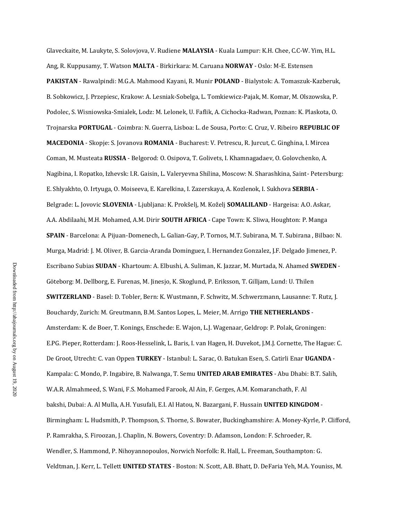Glaveckaite, M. Laukyte, S. Solovjova, V. Rudiene **MALAYSIA** - Kuala Lumpur: K.H. Chee, C.C-W. Yim, H.L. Ang, R. Kuppusamy, T. Watson **MALTA** - Birkirkara: M. Caruana **NORWAY** - Oslo: M-E. Estensen **PAKISTAN** - Rawalpindi: M.G.A. Mahmood Kayani, R. Munir **POLAND** - Bialystok: A. Tomaszuk-Kazberuk, B. Sobkowicz, J. Przepiesc, Krakow: A. Lesniak-Sobelga, L. Tomkiewicz-Pajak, M. Komar, M. Olszowska, P. Podolec, S. Wisniowska-Smialek, Lodz: M. Lelonek, U. Faflik, A. Cichocka-Radwan, Poznan: K. Plaskota, O. Trojnarska **PORTUGAL** - Coimbra: N. Guerra, Lisboa: L. de Sousa, Porto: C. Cruz, V. Ribeiro **REPUBLIC OF MACEDONIA** - Skopje: S. Jovanova **ROMANIA** - Bucharest: V. Petrescu, R. Jurcut, C. Ginghina, I. Mircea Coman, M. Musteata **RUSSIA** - Belgorod: O. Osipova, T. Golivets, I. Khamnagadaev, O. Golovchenko, A. Nagibina, I. Ropatko, Izhevsk: I.R. Gaisin, L. Valeryevna Shilina, Moscow: N. Sharashkina, Saint- Petersburg: E. Shlyakhto, O. Irtyuga, O. Moiseeva, E. Karelkina, I. Zazerskaya, A. Kozlenok, I. Sukhova **SERBIA** - Belgrade: L. Jovovic **SLOVENIA** - Ljubljana: K. Prokšelj, M. Koželj **SOMALILAND** - Hargeisa: A.O. Askar, A.A. Abdilaahi, M.H. Mohamed, A.M. Dirir **SOUTH AFRICA** - Cape Town: K. Sliwa, Houghton: P. Manga **SPAIN** - Barcelona: A. Pijuan-Domenech, L. Galian-Gay, P. Tornos, M.T. Subirana, M. T. Subirana , Bilbao: N. Murga, Madrid: J. M. Oliver, B. Garcia-Aranda Dominguez, I. Hernandez Gonzalez, J.F. Delgado Jimenez, P. Escribano Subias **SUDAN** - Khartoum: A. Elbushi, A. Suliman, K. Jazzar, M. Murtada, N. Ahamed **SWEDEN** - Göteborg: M. Dellborg, E. Furenas, M. Jinesjo, K. Skoglund, P. Eriksson, T. Gilljam, Lund: U. Thilen **SWITZERLAND** - Basel: D. Tobler, Bern: K. Wustmann, F. Schwitz, M. Schwerzmann, Lausanne: T. Rutz, J. Bouchardy, Zurich: M. Greutmann, B.M. Santos Lopes, L. Meier, M. Arrigo **THE NETHERLANDS** - Amsterdam: K. de Boer, T. Konings, Enschede: E. Wajon, L.J. Wagenaar, Geldrop: P. Polak, Groningen: E.PG. Pieper, Rotterdam: J. Roos-Hesselink, L. Baris, I. van Hagen, H. Duvekot, J.M.J. Cornette, The Hague: C. De Groot, Utrecht: C. van Oppen **TURKEY** - Istanbul: L. Sarac, O. Batukan Esen, S. Catirli Enar **UGANDA** - Kampala: C. Mondo, P. Ingabire, B. Nalwanga, T. Semu **UNITED ARAB EMIRATES** - Abu Dhabi: B.T. Salih, W.A.R. Almahmeed, S. Wani, F.S. Mohamed Farook, Al Ain, F. Gerges, A.M. Komaranchath, F. Al bakshi, Dubai: A. Al Mulla, A.H. Yusufali, E.I. Al Hatou, N. Bazargani, F. Hussain **UNITED KINGDOM** - Birmingham: L. Hudsmith, P. Thompson, S. Thorne, S. Bowater, Buckinghamshire: A. Money-Kyrle, P. Clifford, P. Ramrakha, S. Firoozan, J. Chaplin, N. Bowers, Coventry: D. Adamson, London: F. Schroeder, R. Wendler, S. Hammond, P. Nihoyannopoulos, Norwich Norfolk: R. Hall, L. Freeman, Southampton: G. Veldtman, J. Kerr, L. Tellett **UNITED STATES** - Boston: N. Scott, A.B. Bhatt, D. DeFaria Yeh, M.A. Youniss, M.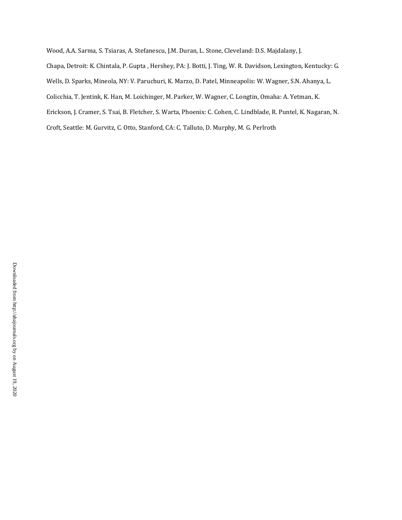Wood, A.A. Sarma, S. Tsiaras, A. Stefanescu, J.M. Duran, L. Stone, Cleveland: D.S. Majdalany, J.

Chapa, Detroit: K. Chintala, P. Gupta , Hershey, PA: J. Botti, J. Ting, W. R. Davidson, Lexington, Kentucky: G. Wells, D. Sparks, Mineola, NY: V. Paruchuri, K. Marzo, D. Patel, Minneapolis: W. Wagner, S.N. Ahanya, L. Colicchia, T. Jentink, K. Han, M. Loichinger, M. Parker, W. Wagner, C. Longtin, Omaha: A. Yetman, K. Erickson, J. Cramer, S. Tsai, B. Fletcher, S. Warta, Phoenix: C. Cohen, C. Lindblade, R. Puntel, K. Nagaran, N. Croft, Seattle: M. Gurvitz, C. Otto, Stanford, CA: C. Talluto, D. Murphy, M. G. Perlroth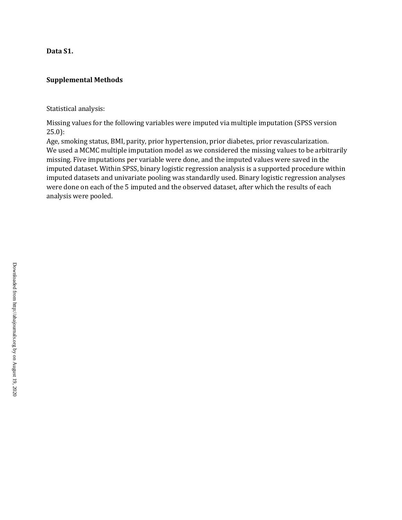**Data S1.**

## **Supplemental Methods**

Statistical analysis:

Missing values for the following variables were imputed via multiple imputation (SPSS version  $25.0$ :

Age, smoking status, BMI, parity, prior hypertension, prior diabetes, prior revascularization. We used a MCMC multiple imputation model as we considered the missing values to be arbitrarily missing. Five imputations per variable were done, and the imputed values were saved in the imputed dataset. Within SPSS, binary logistic regression analysis is a supported procedure within imputed datasets and univariate pooling was standardly used. Binary logistic regression analyses were done on each of the 5 imputed and the observed dataset, after which the results of each analysis were pooled.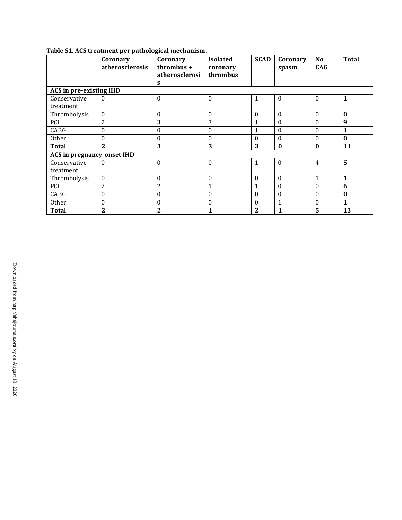|                                | Coronary<br>atherosclerosis | Coronary<br>thrombus +<br>atherosclerosi<br>S | <b>Isolated</b><br>coronary<br>thrombus | <b>SCAD</b>  | Coronary<br>spasm | N <sub>o</sub><br><b>CAG</b> | <b>Total</b> |
|--------------------------------|-----------------------------|-----------------------------------------------|-----------------------------------------|--------------|-------------------|------------------------------|--------------|
| <b>ACS</b> in pre-existing IHD |                             |                                               |                                         |              |                   |                              |              |
| Conservative<br>treatment      | $\Omega$                    | $\theta$                                      | $\Omega$                                | $\mathbf{1}$ | $\boldsymbol{0}$  | $\theta$                     | $\mathbf{1}$ |
| Thrombolysis                   | $\mathbf{0}$                | $\Omega$                                      | $\theta$                                | $\theta$     | $\Omega$          | $\mathbf{0}$                 | $\mathbf{0}$ |
| PCI                            | $\overline{2}$              | 3                                             | 3                                       | $\mathbf{1}$ | $\theta$          | $\boldsymbol{0}$             | 9            |
| CABG                           | $\theta$                    | $\theta$                                      | $\theta$                                | $\mathbf{1}$ | $\theta$          | $\Omega$                     | 1            |
| <b>Other</b>                   | $\theta$                    | $\boldsymbol{0}$                              | $\theta$                                | $\mathbf{0}$ | $\theta$          | $\boldsymbol{0}$             | $\mathbf{0}$ |
| <b>Total</b>                   | $\overline{2}$              | 3                                             | 3                                       | 3            | $\mathbf{0}$      | $\bf{0}$                     | 11           |
| ACS in pregnancy-onset IHD     |                             |                                               |                                         |              |                   |                              |              |
| Conservative<br>treatment      | $\Omega$                    | $\Omega$                                      | $\theta$                                | $\mathbf{1}$ | $\theta$          | $\overline{4}$               | 5            |
| Thrombolysis                   | $\mathbf{0}$                | $\Omega$                                      | $\theta$                                | $\theta$     | $\theta$          | $\mathbf{1}$                 | $\mathbf{1}$ |
| PCI                            | 2                           | 2                                             |                                         | 1            | $\theta$          | $\Omega$                     | 6            |
| CABG                           | $\theta$                    | $\theta$                                      | $\theta$                                | $\theta$     | $\theta$          | $\Omega$                     | $\bf{0}$     |
| <b>Other</b>                   | $\boldsymbol{0}$            | $\boldsymbol{0}$                              | $\boldsymbol{0}$                        | 0            | 1                 | $\boldsymbol{0}$             | 1            |
| <b>Total</b>                   | $\boldsymbol{2}$            | $\mathbf{2}$                                  | 1                                       | 2            | 1                 | 5                            | 13           |

**Table S1**. **ACS treatment per pathological mechanism.**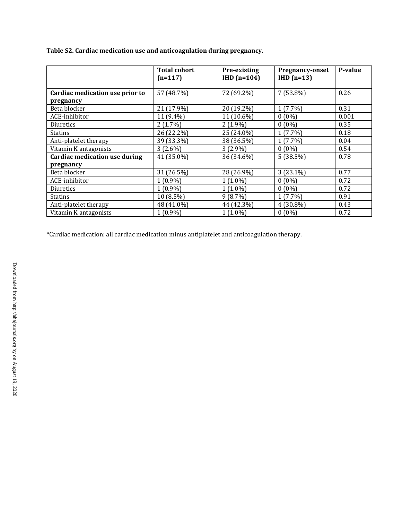**Table S2. Cardiac medication use and anticoagulation during pregnancy.**

|                                              | <b>Total cohort</b><br>$(n=117)$ | Pre-existing<br>$IHD(n=104)$ | <b>Pregnancy-onset</b><br>$IHD(n=13)$ | P-value |
|----------------------------------------------|----------------------------------|------------------------------|---------------------------------------|---------|
| Cardiac medication use prior to<br>pregnancy | 57 (48.7%)                       | 72 (69.2%)                   | $7(53.8\%)$                           | 0.26    |
| Beta blocker                                 | 21 (17.9%)                       | 20 (19.2%)                   | $1(7.7\%)$                            | 0.31    |
| ACE-inhibitor                                | 11 (9.4%)                        | 11 (10.6%)                   | $0(0\%)$                              | 0.001   |
| Diuretics                                    | 2(1.7%)                          | $2(1.9\%)$                   | $0(0\%)$                              | 0.35    |
| <b>Statins</b>                               | 26 (22.2%)                       | 25 (24.0%)                   | $1(7.7\%)$                            | 0.18    |
| Anti-platelet therapy                        | 39 (33.3%)                       | 38 (36.5%)                   | $1(7.7\%)$                            | 0.04    |
| Vitamin K antagonists                        | $3(2.6\%)$                       | $3(2.9\%)$                   | $0(0\%)$                              | 0.54    |
| Cardiac medication use during                | 41 (35.0%)                       | 36 (34.6%)                   | 5(38.5%)                              | 0.78    |
| pregnancy                                    |                                  |                              |                                       |         |
| Beta blocker                                 | 31 (26.5%)                       | 28 (26.9%)                   | $3(23.1\%)$                           | 0.77    |
| ACE-inhibitor                                | $1(0.9\%)$                       | $1(1.0\%)$                   | $0(0\%)$                              | 0.72    |
| Diuretics                                    | $1(0.9\%)$                       | $1(1.0\%)$                   | $0(0\%)$                              | 0.72    |
| <b>Statins</b>                               | 10 (8.5%)                        | 9(8.7%)                      | $1(7.7\%)$                            | 0.91    |
| Anti-platelet therapy                        | 48 (41.0%)                       | 44 (42.3%)                   | $4(30.8\%)$                           | 0.43    |
| Vitamin K antagonists                        | $1(0.9\%)$                       | $1(1.0\%)$                   | $0(0\%)$                              | 0.72    |

\*Cardiac medication: all cardiac medication minus antiplatelet and anticoagulation therapy.